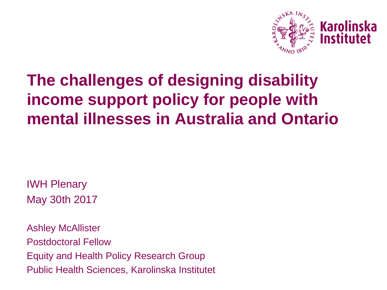

## **The challenges of designing disability income support policy for people with mental illnesses in Australia and Ontario**

IWH Plenary May 30th 2017

Ashley McAllister Postdoctoral Fellow Equity and Health Policy Research Group Public Health Sciences, Karolinska Institutet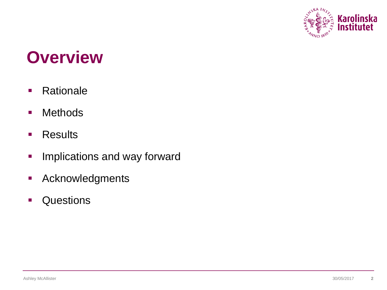

# **Overview**

- **Rationale**
- Methods
- **Results**
- **Implications and way forward**
- **-** Acknowledgments
- **Questions**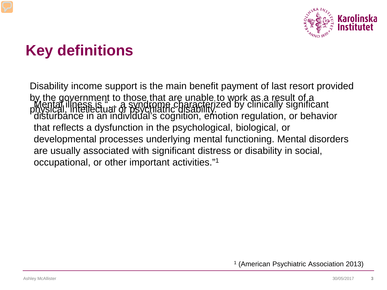

## **Key definitions**

Disability income support is the main benefit payment of last resort provided by the government to those that are unable to work as a result of a physical, intellectual or psychiatric disability. Mental illness is "… a syndrome characterized by clinically significant disturbance in an individual's cognition, emotion regulation, or behavior that reflects a dysfunction in the psychological, biological, or developmental processes underlying mental functioning. Mental disorders are usually associated with significant distress or disability in social, occupational, or other important activities."1

<sup>1</sup> (American Psychiatric Association 2013)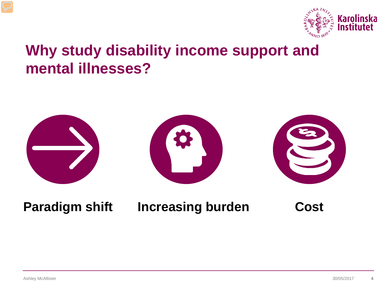

### **Why study disability income support and mental illnesses?**



### **Paradigm shift Increasing burden Cost**

Ashley McAllister 30/05/2017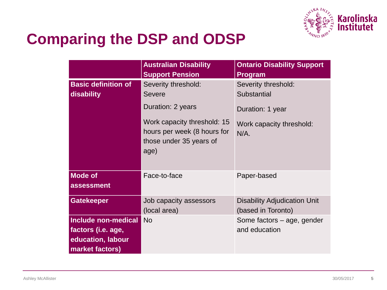

## **Comparing the DSP and ODSP**

|                                                                                   | <b>Australian Disability</b><br><b>Support Pension</b>                                                                                             | <b>Ontario Disability Support</b><br>Program                                                  |
|-----------------------------------------------------------------------------------|----------------------------------------------------------------------------------------------------------------------------------------------------|-----------------------------------------------------------------------------------------------|
| <b>Basic definition of</b><br>disability                                          | Severity threshold:<br><b>Severe</b><br>Duration: 2 years<br>Work capacity threshold: 15<br>hours per week (8 hours for<br>those under 35 years of | Severity threshold:<br>Substantial<br>Duration: 1 year<br>Work capacity threshold:<br>$N/A$ . |
|                                                                                   | age)                                                                                                                                               |                                                                                               |
| <b>Mode of</b><br>assessment                                                      | Face-to-face                                                                                                                                       | Paper-based                                                                                   |
| <b>Gatekeeper</b>                                                                 | Job capacity assessors<br>(local area)                                                                                                             | <b>Disability Adjudication Unit</b><br>(based in Toronto)                                     |
| Include non-medical<br>factors (i.e. age,<br>education, labour<br>market factors) | <b>No</b>                                                                                                                                          | Some factors - age, gender<br>and education                                                   |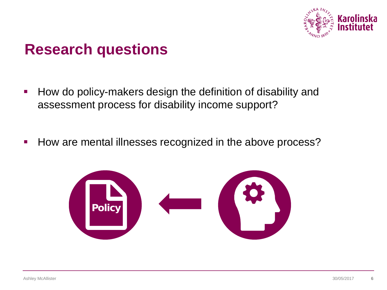

### **Research questions**

- **How do policy-makers design the definition of disability and** assessment process for disability income support?
- How are mental illnesses recognized in the above process?

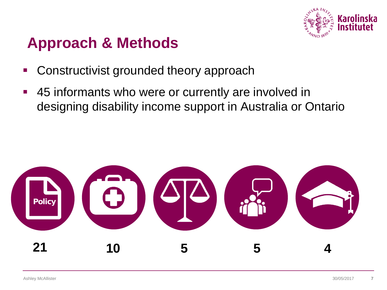

## **Approach & Methods**

- **Constructivist grounded theory approach**
- 45 informants who were or currently are involved in designing disability income support in Australia or Ontario

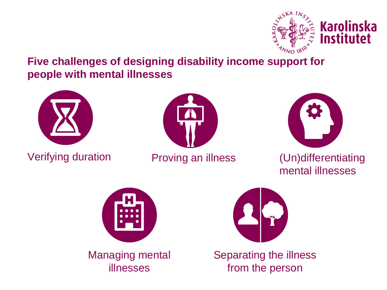

**Five challenges of designing disability income support for people with mental illnesses**



Verifying duration Proving an illness





### (Un)differentiating mental illnesses





Separating the illness from the person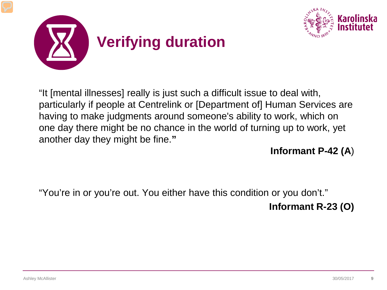



"It [mental illnesses] really is just such a difficult issue to deal with, particularly if people at Centrelink or [Department of] Human Services are having to make judgments around someone's ability to work, which on one day there might be no chance in the world of turning up to work, yet another day they might be fine.**"** 

**Informant P-42 (A**)

"You're in or you're out. You either have this condition or you don't."

**Informant R-23 (O)**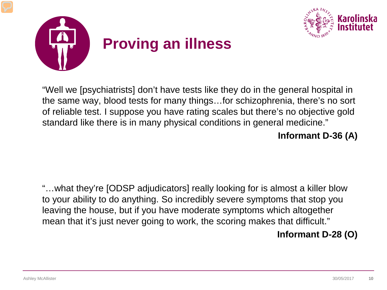



"Well we [psychiatrists] don't have tests like they do in the general hospital in the same way, blood tests for many things…for schizophrenia, there's no sort of reliable test. I suppose you have rating scales but there's no objective gold standard like there is in many physical conditions in general medicine."

#### **Informant D-36 (A)**

"…what they're [ODSP adjudicators] really looking for is almost a killer blow to your ability to do anything. So incredibly severe symptoms that stop you leaving the house, but if you have moderate symptoms which altogether mean that it's just never going to work, the scoring makes that difficult."

### **Informant D-28 (O)**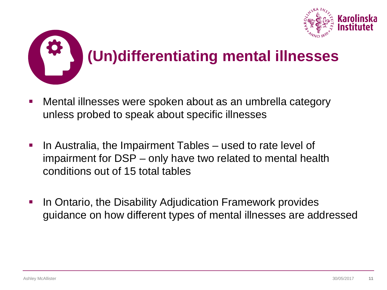



- Mental illnesses were spoken about as an umbrella category unless probed to speak about specific illnesses
- **IF In Australia, the Impairment Tables used to rate level of** impairment for DSP – only have two related to mental health conditions out of 15 total tables
- In Ontario, the Disability Adjudication Framework provides guidance on how different types of mental illnesses are addressed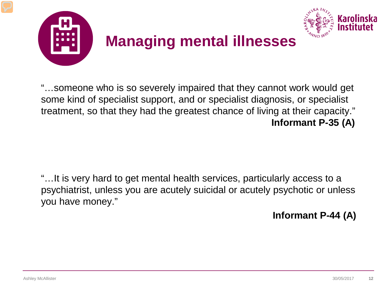

"…someone who is so severely impaired that they cannot work would get some kind of specialist support, and or specialist diagnosis, or specialist treatment, so that they had the greatest chance of living at their capacity." **Informant P-35 (A)**

"…It is very hard to get mental health services, particularly access to a psychiatrist, unless you are acutely suicidal or acutely psychotic or unless you have money."

**Informant P-44 (A)**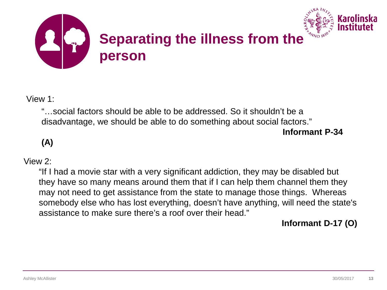

View 1:

"…social factors should be able to be addressed. So it shouldn't be a disadvantage, we should be able to do something about social factors." **Informant P-34** 

**(A)**

#### View 2:

"If I had a movie star with a very significant addiction, they may be disabled but they have so many means around them that if I can help them channel them they may not need to get assistance from the state to manage those things. Whereas somebody else who has lost everything, doesn't have anything, will need the state's assistance to make sure there's a roof over their head."

#### **Informant D-17 (O)**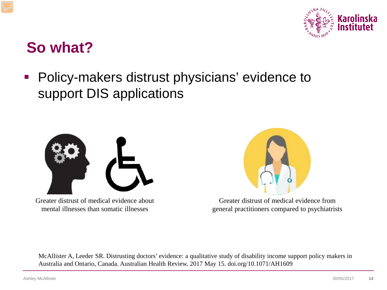

### **So what?**

 Policy-makers distrust physicians' evidence to support DIS applications



Greater distrust of medical evidence about mental illnesses than somatic illnesses



Greater distrust of medical evidence from general practitioners compared to psychiatrists

McAllister A, Leeder SR. Distrusting doctors' evidence: a qualitative study of disability income support policy makers in Australia and Ontario, Canada. Australian Health Review. 2017 May 15. doi.org/10.1071/AH1609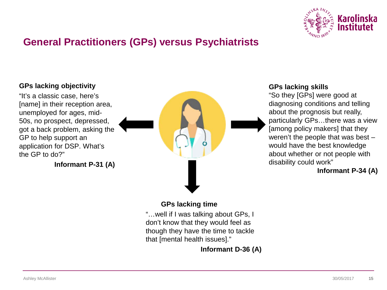

### **General Practitioners (GPs) versus Psychiatrists**

#### **GPs lacking objectivity**

"It's a classic case, here's [name] in their reception area, unemployed for ages, mid-50s, no prospect, depressed, got a back problem, asking the GP to help support an application for DSP. What's the GP to do?"

**Informant P-31 (A)**



#### **GPs lacking skills**

"So they [GPs] were good at diagnosing conditions and telling about the prognosis but really, particularly GPs…there was a view [among policy makers] that they weren't the people that was best – would have the best knowledge about whether or not people with disability could work"

#### **Informant P-34 (A)**

#### **GPs lacking time**

"…well if I was talking about GPs, I don't know that they would feel as though they have the time to tackle that [mental health issues]."

**Informant D-36 (A)**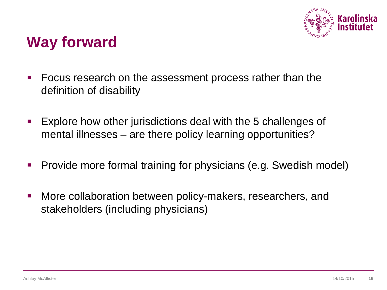

### **Way forward**

- Focus research on the assessment process rather than the definition of disability
- Explore how other jurisdictions deal with the 5 challenges of mental illnesses – are there policy learning opportunities?
- **Provide more formal training for physicians (e.g. Swedish model)**
- More collaboration between policy-makers, researchers, and stakeholders (including physicians)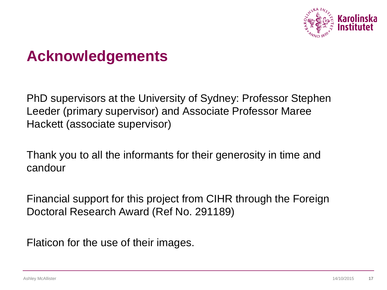

### **Acknowledgements**

PhD supervisors at the University of Sydney: Professor Stephen Leeder (primary supervisor) and Associate Professor Maree Hackett (associate supervisor)

Thank you to all the informants for their generosity in time and candour

Financial support for this project from CIHR through the Foreign Doctoral Research Award (Ref No. 291189)

Flaticon for the use of their images.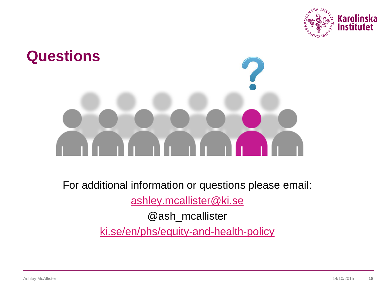



For additional information or questions please email:

[ashley.mcallister@ki.se](mailto:ashley.mcallister@ki.se)

@ash\_mcallister

[ki.se/en/phs/equity-and-health-policy](http://ki.se/en/phs/equity-and-health-policy)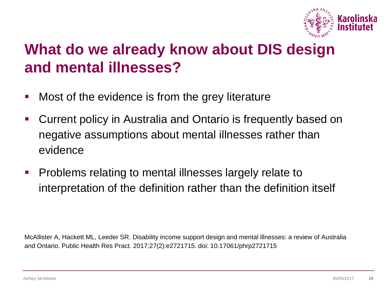

## **What do we already know about DIS design and mental illnesses?**

- **Nost of the evidence is from the grey literature**
- Current policy in Australia and Ontario is frequently based on negative assumptions about mental illnesses rather than evidence
- **Problems relating to mental illnesses largely relate to** interpretation of the definition rather than the definition itself

McAllister A, Hackett ML, Leeder SR. Disability income support design and mental illnesses: a review of Australia and Ontario. Public Health Res Pract. 2017;27(2):e2721715. doi: 10.17061/phrp2721715